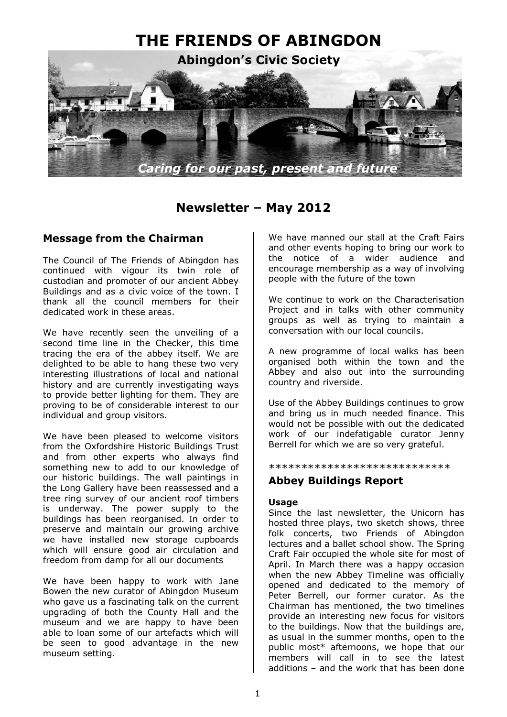

# **Newsletter – May 2012**

## **Message from the Chairman**

The Council of The Friends of Abingdon has continued with vigour its twin role of custodian and promoter of our ancient Abbey Buildings and as a civic voice of the town. I thank all the council members for their dedicated work in these areas.

We have recently seen the unveiling of a second time line in the Checker, this time tracing the era of the abbey itself. We are delighted to be able to hang these two very interesting illustrations of local and national history and are currently investigating ways to provide better lighting for them. They are proving to be of considerable interest to our individual and group visitors.

We have been pleased to welcome visitors from the Oxfordshire Historic Buildings Trust and from other experts who always find something new to add to our knowledge of our historic buildings. The wall paintings in the Long Gallery have been reassessed and a tree ring survey of our ancient roof timbers is underway. The power supply to the buildings has been reorganised. In order to preserve and maintain our growing archive we have installed new storage cupboards which will ensure good air circulation and freedom from damp for all our documents

We have been happy to work with Jane Bowen the new curator of Abingdon Museum who gave us a fascinating talk on the current upgrading of both the County Hall and the museum and we are happy to have been able to loan some of our artefacts which will be seen to good advantage in the new museum setting.

We have manned our stall at the Craft Fairs and other events hoping to bring our work to the notice of a wider audience and encourage membership as a way of involving people with the future of the town

We continue to work on the Characterisation Project and in talks with other community groups as well as trying to maintain a conversation with our local councils.

A new programme of local walks has been organised both within the town and the Abbey and also out into the surrounding country and riverside.

Use of the Abbey Buildings continues to grow and bring us in much needed finance. This would not be possible with out the dedicated work of our indefatigable curator Jenny Berrell for which we are so very grateful.

#### \*\*\*\*\*\*\*\*\*\*\*\*\*\*\*\*\*\*\*\*\*\*\*\*\*\*\*\*

### **Abbey Buildings Report**

### **Usage**

Since the last newsletter, the Unicorn has hosted three plays, two sketch shows, three folk concerts, two Friends of Abingdon lectures and a ballet school show. The Spring Craft Fair occupied the whole site for most of April. In March there was a happy occasion when the new Abbey Timeline was officially opened and dedicated to the memory of Peter Berrell, our former curator. As the Chairman has mentioned, the two timelines provide an interesting new focus for visitors to the buildings. Now that the buildings are, as usual in the summer months, open to the public most\* afternoons, we hope that our members will call in to see the latest additions – and the work that has been done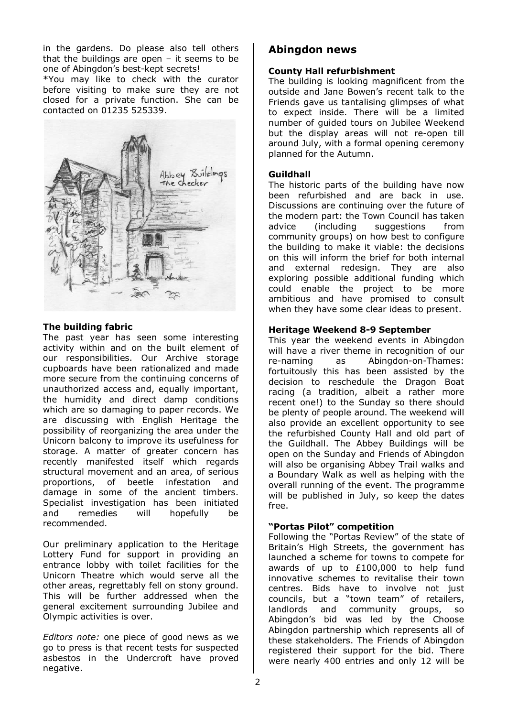in the gardens. Do please also tell others that the buildings are open – it seems to be one of Abingdon's best-kept secrets!

\*You may like to check with the curator before visiting to make sure they are not closed for a private function. She can be contacted on 01235 525339.



### **The building fabric**

The past year has seen some interesting activity within and on the built element of our responsibilities. Our Archive storage cupboards have been rationalized and made more secure from the continuing concerns of unauthorized access and, equally important, the humidity and direct damp conditions which are so damaging to paper records. We are discussing with English Heritage the possibility of reorganizing the area under the Unicorn balcony to improve its usefulness for storage. A matter of greater concern has recently manifested itself which regards structural movement and an area, of serious proportions, of beetle infestation and damage in some of the ancient timbers. Specialist investigation has been initiated and remedies will hopefully be recommended.

Our preliminary application to the Heritage Lottery Fund for support in providing an entrance lobby with toilet facilities for the Unicorn Theatre which would serve all the other areas, regrettably fell on stony ground. This will be further addressed when the general excitement surrounding Jubilee and Olympic activities is over.

*Editors note:* one piece of good news as we go to press is that recent tests for suspected asbestos in the Undercroft have proved negative.

### **Abingdon news**

#### **County Hall refurbishment**

The building is looking magnificent from the outside and Jane Bowen's recent talk to the Friends gave us tantalising glimpses of what to expect inside. There will be a limited number of guided tours on Jubilee Weekend but the display areas will not re-open till around July, with a formal opening ceremony planned for the Autumn.

#### **Guildhall**

The historic parts of the building have now been refurbished and are back in use. Discussions are continuing over the future of the modern part: the Town Council has taken advice (including suggestions from community groups) on how best to configure the building to make it viable: the decisions on this will inform the brief for both internal and external redesign. They are also exploring possible additional funding which could enable the project to be more ambitious and have promised to consult when they have some clear ideas to present.

#### **Heritage Weekend 8-9 September**

This year the weekend events in Abingdon will have a river theme in recognition of our re-naming as Abingdon-on-Thames: fortuitously this has been assisted by the decision to reschedule the Dragon Boat racing (a tradition, albeit a rather more recent one!) to the Sunday so there should be plenty of people around. The weekend will also provide an excellent opportunity to see the refurbished County Hall and old part of the Guildhall. The Abbey Buildings will be open on the Sunday and Friends of Abingdon will also be organising Abbey Trail walks and a Boundary Walk as well as helping with the overall running of the event. The programme will be published in July, so keep the dates free.

#### **"Portas Pilot" competition**

Following the "Portas Review" of the state of Britain's High Streets, the government has launched a scheme for towns to compete for awards of up to £100,000 to help fund innovative schemes to revitalise their town centres. Bids have to involve not just councils, but a "town team" of retailers, landlords and community groups, so Abingdon's bid was led by the Choose Abingdon partnership which represents all of these stakeholders. The Friends of Abingdon registered their support for the bid. There were nearly 400 entries and only 12 will be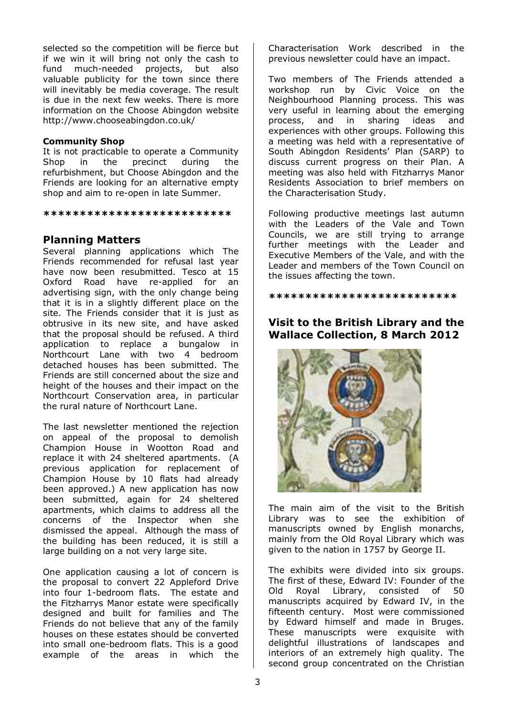selected so the competition will be fierce but if we win it will bring not only the cash to fund much-needed projects, but also valuable publicity for the town since there will inevitably be media coverage. The result is due in the next few weeks. There is more information on the Choose Abingdon website http://www.chooseabingdon.co.uk/

### **Community Shop**

It is not practicable to operate a Community Shop in the precinct during the refurbishment, but Choose Abingdon and the Friends are looking for an alternative empty shop and aim to re-open in late Summer.

#### **\*\*\*\*\*\*\*\*\*\*\*\*\*\*\*\*\*\*\*\*\*\*\*\*\*\***

### **Planning Matters**

Several planning applications which The Friends recommended for refusal last year have now been resubmitted. Tesco at 15 Oxford Road have re-applied for an advertising sign, with the only change being that it is in a slightly different place on the site. The Friends consider that it is just as obtrusive in its new site, and have asked that the proposal should be refused. A third application to replace a bungalow in Northcourt Lane with two 4 bedroom detached houses has been submitted. The Friends are still concerned about the size and height of the houses and their impact on the Northcourt Conservation area, in particular the rural nature of Northcourt Lane.

The last newsletter mentioned the rejection on appeal of the proposal to demolish Champion House in Wootton Road and replace it with 24 sheltered apartments. (A previous application for replacement of Champion House by 10 flats had already been approved.) A new application has now been submitted, again for 24 sheltered apartments, which claims to address all the concerns of the Inspector when she dismissed the appeal. Although the mass of the building has been reduced, it is still a large building on a not very large site.

One application causing a lot of concern is the proposal to convert 22 Appleford Drive into four 1-bedroom flats. The estate and the Fitzharrys Manor estate were specifically designed and built for families and The Friends do not believe that any of the family houses on these estates should be converted into small one-bedroom flats. This is a good example of the areas in which the Characterisation Work described in the previous newsletter could have an impact.

Two members of The Friends attended a workshop run by Civic Voice on the Neighbourhood Planning process. This was very useful in learning about the emerging process, and in sharing ideas and experiences with other groups. Following this a meeting was held with a representative of South Abingdon Residents' Plan (SARP) to discuss current progress on their Plan. A meeting was also held with Fitzharrys Manor Residents Association to brief members on the Characterisation Study.

Following productive meetings last autumn with the Leaders of the Vale and Town Councils, we are still trying to arrange further meetings with the Leader and Executive Members of the Vale, and with the Leader and members of the Town Council on the issues affecting the town.

**\*\*\*\*\*\*\*\*\*\*\*\*\*\*\*\*\*\*\*\*\*\*\*\*\*\*** 

## **Visit to the British Library and the Wallace Collection, 8 March 2012**



The main aim of the visit to the British Library was to see the exhibition of manuscripts owned by English monarchs, mainly from the Old Royal Library which was given to the nation in 1757 by George II.

The exhibits were divided into six groups. The first of these, Edward IV: Founder of the Old Royal Library, consisted of 50 manuscripts acquired by Edward IV, in the fifteenth century. Most were commissioned by Edward himself and made in Bruges. These manuscripts were exquisite with delightful illustrations of landscapes and interiors of an extremely high quality. The second group concentrated on the Christian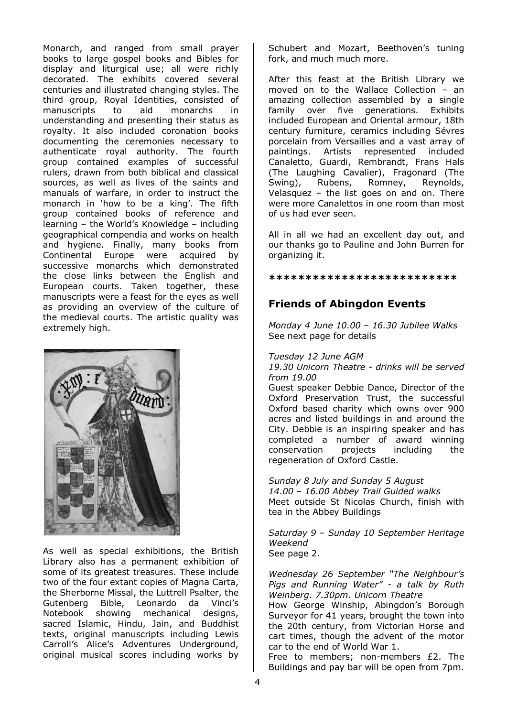Monarch, and ranged from small prayer books to large gospel books and Bibles for display and liturgical use; all were richly decorated. The exhibits covered several centuries and illustrated changing styles. The third group, Royal Identities, consisted of manuscripts to aid monarchs in understanding and presenting their status as royalty. It also included coronation books documenting the ceremonies necessary to authenticate royal authority. The fourth group contained examples of successful rulers, drawn from both biblical and classical sources, as well as lives of the saints and manuals of warfare, in order to instruct the monarch in 'how to be a king'. The fifth group contained books of reference and learning – the World's Knowledge – including geographical compendia and works on health and hygiene. Finally, many books from Continental Europe were acquired by successive monarchs which demonstrated the close links between the English and European courts. Taken together, these manuscripts were a feast for the eyes as well as providing an overview of the culture of the medieval courts. The artistic quality was extremely high.



As well as special exhibitions, the British Library also has a permanent exhibition of some of its greatest treasures. These include two of the four extant copies of Magna Carta, the Sherborne Missal, the Luttrell Psalter, the Gutenberg Bible, Leonardo da Vinci's Notebook showing mechanical designs, sacred Islamic, Hindu, Jain, and Buddhist texts, original manuscripts including Lewis Carroll's Alice's Adventures Underground, original musical scores including works by

Schubert and Mozart, Beethoven's tuning fork, and much much more.

After this feast at the British Library we moved on to the Wallace Collection – an amazing collection assembled by a single family over five generations. Exhibits included European and Oriental armour, 18th century furniture, ceramics including Sévres porcelain from Versailles and a vast array of paintings. Artists represented included Canaletto, Guardi, Rembrandt, Frans Hals (The Laughing Cavalier), Fragonard (The Swing), Rubens, Romney, Reynolds, Velasquez – the list goes on and on. There were more Canalettos in one room than most of us had ever seen.

All in all we had an excellent day out, and our thanks go to Pauline and John Burren for organizing it.

**\*\*\*\*\*\*\*\*\*\*\*\*\*\*\*\*\*\*\*\*\*\*\*\*\*\*** 

# **Friends of Abingdon Events**

*Monday 4 June 10.00 – 16.30 Jubilee Walks*  See next page for details

#### *Tuesday 12 June AGM*

*19.30 Unicorn Theatre - drinks will be served from 19.00* 

Guest speaker Debbie Dance, Director of the Oxford Preservation Trust, the successful Oxford based charity which owns over 900 acres and listed buildings in and around the City. Debbie is an inspiring speaker and has completed a number of award winning conservation projects including the regeneration of Oxford Castle.

*Sunday 8 July and Sunday 5 August 14.00 – 16.00 Abbey Trail Guided walks*  Meet outside St Nicolas Church, finish with tea in the Abbey Buildings

*Saturday 9 – Sunday 10 September Heritage Weekend*  See page 2.

*Wednesday 26 September "The Neighbour's Pigs and Running Water" - a talk by Ruth Weinberg. 7.30pm. Unicorn Theatre* 

How George Winship, Abingdon's Borough Surveyor for 41 years, brought the town into the 20th century, from Victorian Horse and cart times, though the advent of the motor car to the end of World War 1.

Free to members; non-members £2. The Buildings and pay bar will be open from 7pm.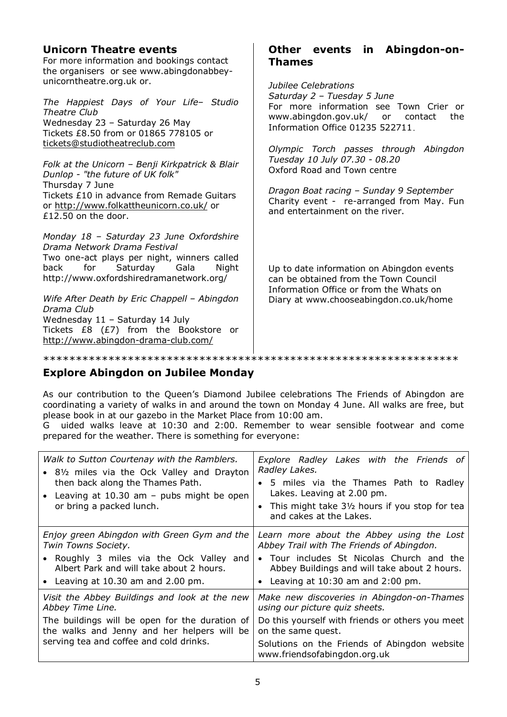| <b>Unicorn Theatre events</b><br>For more information and bookings contact<br>the organisers or see www.abingdonabbey-                                                                                                                                                                                                                                                                                                     | Other events in Abingdon-on-<br><b>Thames</b>                                                                                                                                                                                                                                                                                                                                                                   |  |
|----------------------------------------------------------------------------------------------------------------------------------------------------------------------------------------------------------------------------------------------------------------------------------------------------------------------------------------------------------------------------------------------------------------------------|-----------------------------------------------------------------------------------------------------------------------------------------------------------------------------------------------------------------------------------------------------------------------------------------------------------------------------------------------------------------------------------------------------------------|--|
| unicorntheatre.org.uk or.<br>The Happiest Days of Your Life- Studio<br>Theatre Club<br>Wednesday 23 - Saturday 26 May<br>Tickets £8.50 from or 01865 778105 or<br>tickets@studiotheatreclub.com<br>Folk at the Unicorn - Benji Kirkpatrick & Blair<br>Dunlop - "the future of UK folk"<br>Thursday 7 June<br>Tickets £10 in advance from Remade Guitars<br>or http://www.folkattheunicorn.co.uk/ or<br>£12.50 on the door. | Jubilee Celebrations<br>Saturday 2 - Tuesday 5 June<br>For more information see Town Crier or<br>www.abingdon.gov.uk/ or contact<br>the<br>Information Office 01235 522711.<br>Olympic Torch passes through Abingdon<br>Tuesday 10 July 07.30 - 08.20<br>Oxford Road and Town centre<br>Dragon Boat racing - Sunday 9 September<br>Charity event - re-arranged from May. Fun<br>and entertainment on the river. |  |
| Monday 18 - Saturday 23 June Oxfordshire<br>Drama Network Drama Festival<br>Two one-act plays per night, winners called<br>for<br>Saturday<br>Gala<br>back<br>Night<br>http://www.oxfordshiredramanetwork.org/<br>Wife After Death by Eric Chappell - Abingdon<br>Drama Club<br>Wednesday 11 - Saturday 14 July<br>Tickets £8 (£7) from the Bookstore or<br>http://www.abingdon-drama-club.com/                            | Up to date information on Abingdon events<br>can be obtained from the Town Council<br>Information Office or from the Whats on<br>Diary at www.chooseabingdon.co.uk/home                                                                                                                                                                                                                                         |  |

# **Explore Abingdon on Jubilee Monday**

As our contribution to the Queen's Diamond Jubilee celebrations The Friends of Abingdon are coordinating a variety of walks in and around the town on Monday 4 June. All walks are free, but please book in at our gazebo in the Market Place from 10:00 am.

G uided walks leave at 10:30 and 2:00. Remember to wear sensible footwear and come prepared for the weather. There is something for everyone:

| Walk to Sutton Courtenay with the Ramblers.<br>• 81/2 miles via the Ock Valley and Drayton<br>then back along the Thames Path.<br>• Leaving at 10.30 am - pubs might be open<br>or bring a packed lunch.      | Explore Radley Lakes with the Friends of<br>Radley Lakes.<br>• 5 miles via the Thames Path to Radley<br>Lakes. Leaving at 2.00 pm.<br>• This might take 31/2 hours if you stop for tea<br>and cakes at the Lakes.                      |
|---------------------------------------------------------------------------------------------------------------------------------------------------------------------------------------------------------------|----------------------------------------------------------------------------------------------------------------------------------------------------------------------------------------------------------------------------------------|
| Enjoy green Abingdon with Green Gym and the<br>Twin Towns Society.<br>• Roughly 3 miles via the Ock Valley and<br>Albert Park and will take about 2 hours.<br>• Leaving at $10.30$ am and $2.00$ pm.          | Learn more about the Abbey using the Lost<br>Abbey Trail with The Friends of Abingdon.<br>• Tour includes St Nicolas Church and the<br>Abbey Buildings and will take about 2 hours.<br>• Leaving at $10:30$ am and $2:00$ pm.          |
| Visit the Abbey Buildings and look at the new<br>Abbey Time Line.<br>The buildings will be open for the duration of<br>the walks and Jenny and her helpers will be<br>serving tea and coffee and cold drinks. | Make new discoveries in Abingdon-on-Thames<br>using our picture quiz sheets.<br>Do this yourself with friends or others you meet<br>on the same quest.<br>Solutions on the Friends of Abingdon website<br>www.friendsofabingdon.org.uk |